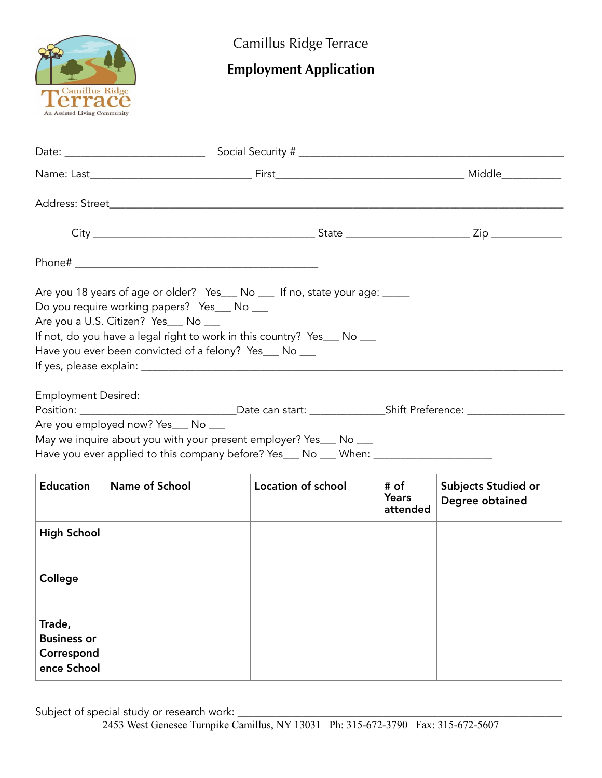

Camillus Ridge Terrace

## **Employment Application**

| Are you 18 years of age or older? Yes___ No ___ If no, state your age: _____<br>Do you require working papers? Yes__ No __<br>Are you a U.S. Citizen? Yes___ No ___<br>If not, do you have a legal right to work in this country? Yes___ No ___<br>Have you ever been convicted of a felony? Yes___ No ___<br><b>Employment Desired:</b><br>Are you employed now? Yes___ No ___<br>May we inquire about you with your present employer? Yes___ No ___<br>Have you ever applied to this company before? Yes___ No ___ When: _______________ |                |                    |                                  |                                        |  |  |  |  |  |  |
|--------------------------------------------------------------------------------------------------------------------------------------------------------------------------------------------------------------------------------------------------------------------------------------------------------------------------------------------------------------------------------------------------------------------------------------------------------------------------------------------------------------------------------------------|----------------|--------------------|----------------------------------|----------------------------------------|--|--|--|--|--|--|
| <b>Education</b>                                                                                                                                                                                                                                                                                                                                                                                                                                                                                                                           | Name of School | Location of school | # of<br><b>Years</b><br>attended | Subjects Studied or<br>Degree obtained |  |  |  |  |  |  |
| <b>High School</b>                                                                                                                                                                                                                                                                                                                                                                                                                                                                                                                         |                |                    |                                  |                                        |  |  |  |  |  |  |
| College                                                                                                                                                                                                                                                                                                                                                                                                                                                                                                                                    |                |                    |                                  |                                        |  |  |  |  |  |  |
| Trade,<br><b>Business or</b><br>Correspond<br>ence School                                                                                                                                                                                                                                                                                                                                                                                                                                                                                  |                |                    |                                  |                                        |  |  |  |  |  |  |

Subject of special study or research work: \_\_\_\_\_\_\_\_\_\_\_\_\_\_\_\_\_\_\_\_\_\_\_\_\_\_\_\_\_\_\_\_\_\_\_\_\_\_\_\_\_\_\_\_\_\_\_\_\_\_\_\_\_\_\_\_\_\_\_\_

2453 West Genesee Turnpike Camillus, NY 13031 Ph: 315-672-3790 Fax: 315-672-5607